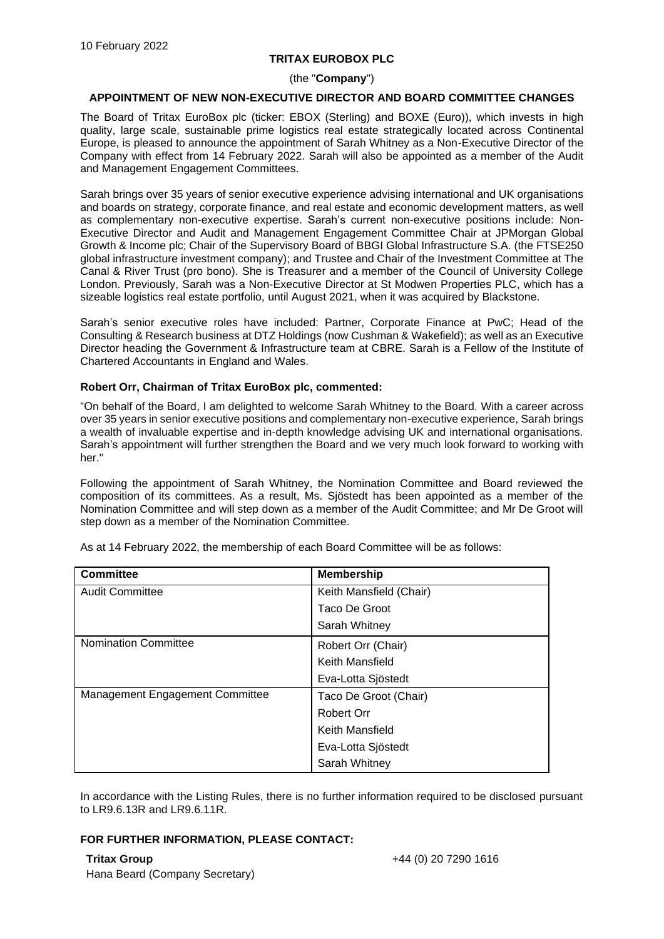## **TRITAX EUROBOX PLC**

#### (the "**Company**")

### **APPOINTMENT OF NEW NON-EXECUTIVE DIRECTOR AND BOARD COMMITTEE CHANGES**

The Board of Tritax EuroBox plc (ticker: EBOX (Sterling) and BOXE (Euro)), which invests in high quality, large scale, sustainable prime logistics real estate strategically located across Continental Europe, is pleased to announce the appointment of Sarah Whitney as a Non-Executive Director of the Company with effect from 14 February 2022. Sarah will also be appointed as a member of the Audit and Management Engagement Committees.

Sarah brings over 35 years of senior executive experience advising international and UK organisations and boards on strategy, corporate finance, and real estate and economic development matters, as well as complementary non-executive expertise. Sarah's current non-executive positions include: Non-Executive Director and Audit and Management Engagement Committee Chair at JPMorgan Global Growth & Income plc; Chair of the Supervisory Board of BBGI Global Infrastructure S.A. (the FTSE250 global infrastructure investment company); and Trustee and Chair of the Investment Committee at The Canal & River Trust (pro bono). She is Treasurer and a member of the Council of University College London. Previously, Sarah was a Non-Executive Director at St Modwen Properties PLC, which has a sizeable logistics real estate portfolio, until August 2021, when it was acquired by Blackstone.

Sarah's senior executive roles have included: Partner, Corporate Finance at PwC; Head of the Consulting & Research business at DTZ Holdings (now Cushman & Wakefield); as well as an Executive Director heading the Government & Infrastructure team at CBRE. Sarah is a Fellow of the Institute of Chartered Accountants in England and Wales.

#### **Robert Orr, Chairman of Tritax EuroBox plc, commented:**

"On behalf of the Board, I am delighted to welcome Sarah Whitney to the Board. With a career across over 35 years in senior executive positions and complementary non-executive experience, Sarah brings a wealth of invaluable expertise and in-depth knowledge advising UK and international organisations. Sarah's appointment will further strengthen the Board and we very much look forward to working with her."

Following the appointment of Sarah Whitney, the Nomination Committee and Board reviewed the composition of its committees. As a result, Ms. Sjöstedt has been appointed as a member of the Nomination Committee and will step down as a member of the Audit Committee; and Mr De Groot will step down as a member of the Nomination Committee.

| <b>Committee</b>                | <b>Membership</b>       |
|---------------------------------|-------------------------|
| <b>Audit Committee</b>          | Keith Mansfield (Chair) |
|                                 | Taco De Groot           |
|                                 | Sarah Whitney           |
| <b>Nomination Committee</b>     | Robert Orr (Chair)      |
|                                 | Keith Mansfield         |
|                                 | Eva-Lotta Sjöstedt      |
| Management Engagement Committee | Taco De Groot (Chair)   |
|                                 | Robert Orr              |
|                                 | Keith Mansfield         |
|                                 | Eva-Lotta Sjöstedt      |
|                                 | Sarah Whitney           |

As at 14 February 2022, the membership of each Board Committee will be as follows:

In accordance with the Listing Rules, there is no further information required to be disclosed pursuant to LR9.6.13R and LR9.6.11R.

# **FOR FURTHER INFORMATION, PLEASE CONTACT:**

**Tritax Group** Hana Beard (Company Secretary)